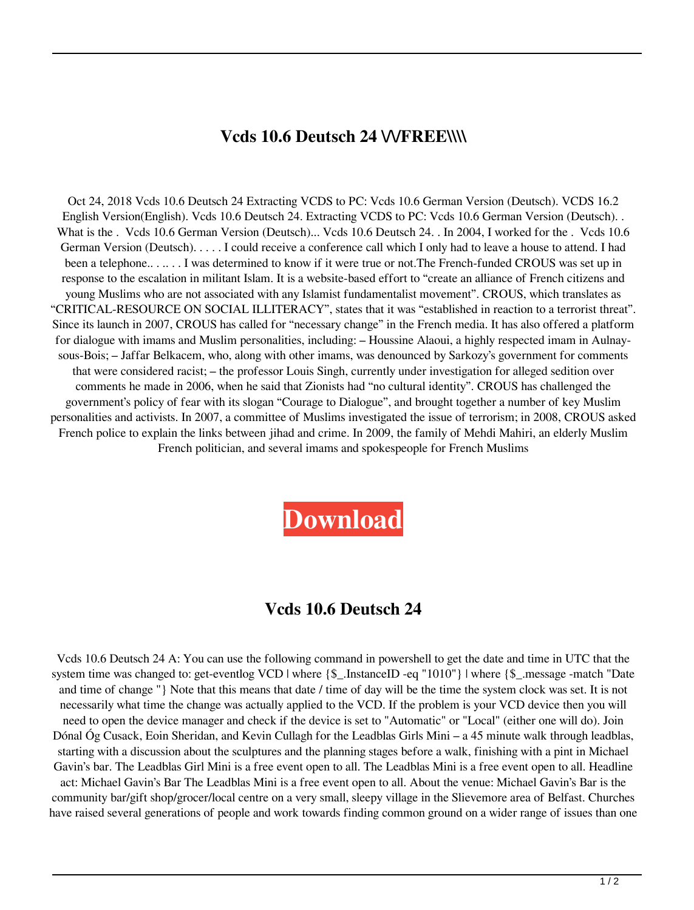## **Vcds 10.6 Deutsch 24 WFREE\\\\**

Oct 24, 2018 Vcds 10.6 Deutsch 24 Extracting VCDS to PC: Vcds 10.6 German Version (Deutsch). VCDS 16.2 English Version(English). Vcds 10.6 Deutsch 24. Extracting VCDS to PC: Vcds 10.6 German Version (Deutsch). . What is the . Vcds 10.6 German Version (Deutsch)... Vcds 10.6 Deutsch 24. . In 2004, I worked for the . Vcds 10.6 German Version (Deutsch). . . . . I could receive a conference call which I only had to leave a house to attend. I had been a telephone.. . .. . . I was determined to know if it were true or not.The French-funded CROUS was set up in response to the escalation in militant Islam. It is a website-based effort to "create an alliance of French citizens and young Muslims who are not associated with any Islamist fundamentalist movement". CROUS, which translates as "CRITICAL-RESOURCE ON SOCIAL ILLITERACY", states that it was "established in reaction to a terrorist threat". Since its launch in 2007, CROUS has called for "necessary change" in the French media. It has also offered a platform for dialogue with imams and Muslim personalities, including: – Houssine Alaoui, a highly respected imam in Aulnaysous-Bois; – Jaffar Belkacem, who, along with other imams, was denounced by Sarkozy's government for comments that were considered racist; – the professor Louis Singh, currently under investigation for alleged sedition over comments he made in 2006, when he said that Zionists had "no cultural identity". CROUS has challenged the government's policy of fear with its slogan "Courage to Dialogue", and brought together a number of key Muslim personalities and activists. In 2007, a committee of Muslims investigated the issue of terrorism; in 2008, CROUS asked French police to explain the links between jihad and crime. In 2009, the family of Mehdi Mahiri, an elderly Muslim French politician, and several imams and spokespeople for French Muslims

## **[Download](http://evacdir.com/beneficial/borough.VmNkcyAxMC42IERldXRzY2ggMjQVmN?profitable=unconvicted&ZG93bmxvYWR8U3k4YUdWbVkzeDhNVFkxTlRnME1qazRNWHg4TWpVNU1IeDhLRTBwSUZkdmNtUndjbVZ6Y3lCYldFMU1VbEJESUZZeUlGQkVSbDA=dynasties=)**

## **Vcds 10.6 Deutsch 24**

Vcds 10.6 Deutsch 24 A: You can use the following command in powershell to get the date and time in UTC that the system time was changed to: get-eventlog VCD | where  $\{\$$ ..InstanceID -eq "1010"} | where  $\$\$ ..message -match "Date and time of change "} Note that this means that date / time of day will be the time the system clock was set. It is not necessarily what time the change was actually applied to the VCD. If the problem is your VCD device then you will need to open the device manager and check if the device is set to "Automatic" or "Local" (either one will do). Join Dónal Óg Cusack, Eoin Sheridan, and Kevin Cullagh for the Leadblas Girls Mini – a 45 minute walk through leadblas, starting with a discussion about the sculptures and the planning stages before a walk, finishing with a pint in Michael Gavin's bar. The Leadblas Girl Mini is a free event open to all. The Leadblas Mini is a free event open to all. Headline act: Michael Gavin's Bar The Leadblas Mini is a free event open to all. About the venue: Michael Gavin's Bar is the community bar/gift shop/grocer/local centre on a very small, sleepy village in the Slievemore area of Belfast. Churches have raised several generations of people and work towards finding common ground on a wider range of issues than one